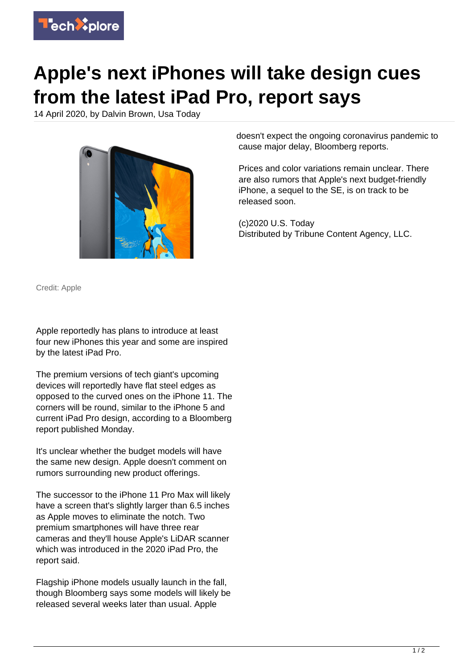

## **Apple's next iPhones will take design cues from the latest iPad Pro, report says**

14 April 2020, by Dalvin Brown, Usa Today



doesn't expect the ongoing coronavirus pandemic to cause major delay, Bloomberg reports.

Prices and color variations remain unclear. There are also rumors that Apple's next budget-friendly iPhone, a sequel to the SE, is on track to be released soon.

(c)2020 U.S. Today Distributed by Tribune Content Agency, LLC.

Credit: Apple

Apple reportedly has plans to introduce at least four new iPhones this year and some are inspired by the latest iPad Pro.

The premium versions of tech giant's upcoming devices will reportedly have flat steel edges as opposed to the curved ones on the iPhone 11. The corners will be round, similar to the iPhone 5 and current iPad Pro design, according to a Bloomberg report published Monday.

It's unclear whether the budget models will have the same new design. Apple doesn't comment on rumors surrounding new product offerings.

The successor to the iPhone 11 Pro Max will likely have a screen that's slightly larger than 6.5 inches as Apple moves to eliminate the notch. Two premium smartphones will have three rear cameras and they'll house Apple's LiDAR scanner which was introduced in the 2020 iPad Pro, the report said.

Flagship iPhone models usually launch in the fall, though Bloomberg says some models will likely be released several weeks later than usual. Apple